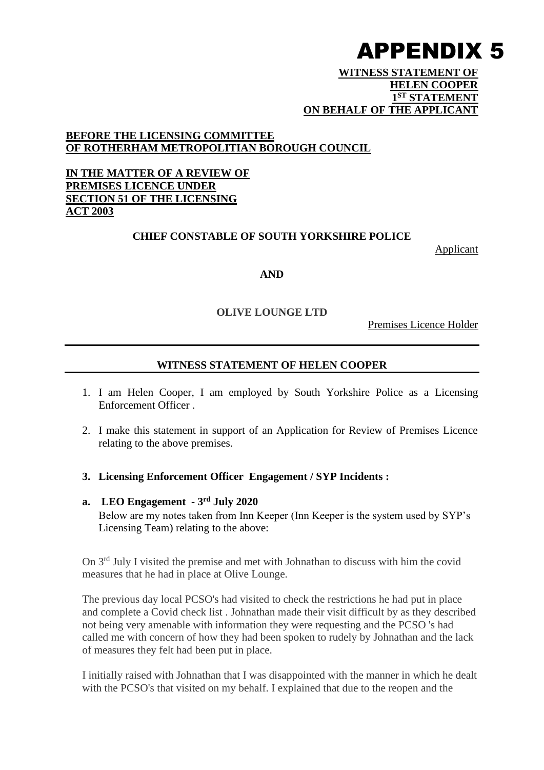#### **WITNESS STATEMENT OF HELEN COOPER 1 ST STATEMENT ON BEHALF OF THE APPLICANT**

## **BEFORE THE LICENSING COMMITTEE OF ROTHERHAM METROPOLITIAN BOROUGH COUNCIL**

## **IN THE MATTER OF A REVIEW OF PREMISES LICENCE UNDER SECTION 51 OF THE LICENSING ACT 2003**

## **CHIEF CONSTABLE OF SOUTH YORKSHIRE POLICE**

Applicant

#### **AND**

#### **OLIVE LOUNGE LTD**

Premises Licence Holder

## **WITNESS STATEMENT OF HELEN COOPER**

- 1. I am Helen Cooper, I am employed by South Yorkshire Police as a Licensing Enforcement Officer .
- 2. I make this statement in support of an Application for Review of Premises Licence relating to the above premises.
- **3. Licensing Enforcement Officer Engagement / SYP Incidents :**
- **a. LEO Engagement - 3 rd July 2020** Below are my notes taken from Inn Keeper (Inn Keeper is the system used by SYP's Licensing Team) relating to the above:

On 3rd July I visited the premise and met with Johnathan to discuss with him the covid measures that he had in place at Olive Lounge.

The previous day local PCSO's had visited to check the restrictions he had put in place and complete a Covid check list . Johnathan made their visit difficult by as they described not being very amenable with information they were requesting and the PCSO 's had called me with concern of how they had been spoken to rudely by Johnathan and the lack of measures they felt had been put in place.

I initially raised with Johnathan that I was disappointed with the manner in which he dealt with the PCSO's that visited on my behalf. I explained that due to the reopen and the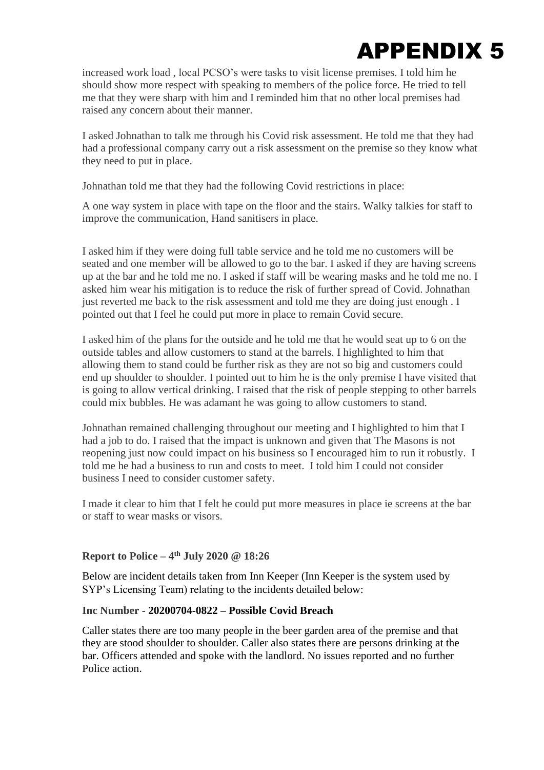increased work load , local PCSO's were tasks to visit license premises. I told him he should show more respect with speaking to members of the police force. He tried to tell me that they were sharp with him and I reminded him that no other local premises had raised any concern about their manner.

I asked Johnathan to talk me through his Covid risk assessment. He told me that they had had a professional company carry out a risk assessment on the premise so they know what they need to put in place.

Johnathan told me that they had the following Covid restrictions in place:

A one way system in place with tape on the floor and the stairs. Walky talkies for staff to improve the communication, Hand sanitisers in place.

I asked him if they were doing full table service and he told me no customers will be seated and one member will be allowed to go to the bar. I asked if they are having screens up at the bar and he told me no. I asked if staff will be wearing masks and he told me no. I asked him wear his mitigation is to reduce the risk of further spread of Covid. Johnathan just reverted me back to the risk assessment and told me they are doing just enough . I pointed out that I feel he could put more in place to remain Covid secure.

I asked him of the plans for the outside and he told me that he would seat up to 6 on the outside tables and allow customers to stand at the barrels. I highlighted to him that allowing them to stand could be further risk as they are not so big and customers could end up shoulder to shoulder. I pointed out to him he is the only premise I have visited that is going to allow vertical drinking. I raised that the risk of people stepping to other barrels could mix bubbles. He was adamant he was going to allow customers to stand.

Johnathan remained challenging throughout our meeting and I highlighted to him that I had a job to do. I raised that the impact is unknown and given that The Masons is not reopening just now could impact on his business so I encouraged him to run it robustly. I told me he had a business to run and costs to meet. I told him I could not consider business I need to consider customer safety.

I made it clear to him that I felt he could put more measures in place ie screens at the bar or staff to wear masks or visors.

## **Report to Police –**  $4^{\text{th}}$  **July 2020 @ 18:26**

Below are incident details taken from Inn Keeper (Inn Keeper is the system used by SYP's Licensing Team) relating to the incidents detailed below:

#### **Inc Number - 20200704-0822 – Possible Covid Breach**

Caller states there are too many people in the beer garden area of the premise and that they are stood shoulder to shoulder. Caller also states there are persons drinking at the bar. Officers attended and spoke with the landlord. No issues reported and no further Police action.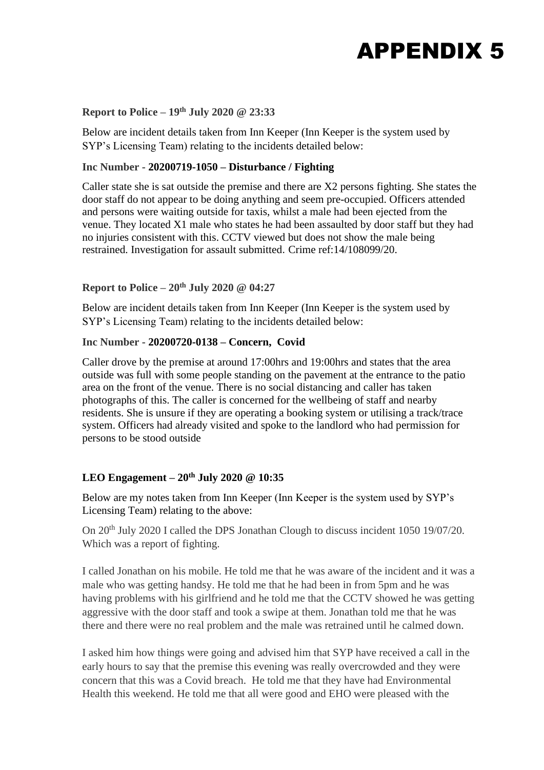### **Report to Police – 19th July 2020 @ 23:33**

Below are incident details taken from Inn Keeper (Inn Keeper is the system used by SYP's Licensing Team) relating to the incidents detailed below:

#### **Inc Number - 20200719-1050 – Disturbance / Fighting**

Caller state she is sat outside the premise and there are X2 persons fighting. She states the door staff do not appear to be doing anything and seem pre-occupied. Officers attended and persons were waiting outside for taxis, whilst a male had been ejected from the venue. They located X1 male who states he had been assaulted by door staff but they had no injuries consistent with this. CCTV viewed but does not show the male being restrained. Investigation for assault submitted. Crime ref:14/108099/20.

## **Report to Police – 20th July 2020 @ 04:27**

Below are incident details taken from Inn Keeper (Inn Keeper is the system used by SYP's Licensing Team) relating to the incidents detailed below:

## **Inc Number - 20200720-0138 – Concern, Covid**

Caller drove by the premise at around 17:00hrs and 19:00hrs and states that the area outside was full with some people standing on the pavement at the entrance to the patio area on the front of the venue. There is no social distancing and caller has taken photographs of this. The caller is concerned for the wellbeing of staff and nearby residents. She is unsure if they are operating a booking system or utilising a track/trace system. Officers had already visited and spoke to the landlord who had permission for persons to be stood outside

#### **LEO Engagement – 20th July 2020 @ 10:35**

Below are my notes taken from Inn Keeper (Inn Keeper is the system used by SYP's Licensing Team) relating to the above:

On 20<sup>th</sup> July 2020 I called the DPS Jonathan Clough to discuss incident 1050 19/07/20. Which was a report of fighting.

I called Jonathan on his mobile. He told me that he was aware of the incident and it was a male who was getting handsy. He told me that he had been in from 5pm and he was having problems with his girlfriend and he told me that the CCTV showed he was getting aggressive with the door staff and took a swipe at them. Jonathan told me that he was there and there were no real problem and the male was retrained until he calmed down.

I asked him how things were going and advised him that SYP have received a call in the early hours to say that the premise this evening was really overcrowded and they were concern that this was a Covid breach. He told me that they have had Environmental Health this weekend. He told me that all were good and EHO were pleased with the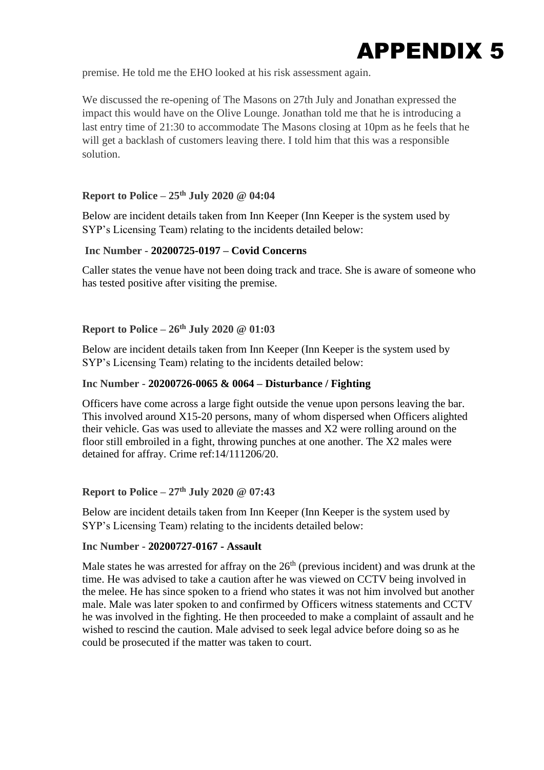

premise. He told me the EHO looked at his risk assessment again.

We discussed the re-opening of The Masons on 27th July and Jonathan expressed the impact this would have on the Olive Lounge. Jonathan told me that he is introducing a last entry time of 21:30 to accommodate The Masons closing at 10pm as he feels that he will get a backlash of customers leaving there. I told him that this was a responsible solution.

#### **Report to Police – 25th July 2020 @ 04:04**

Below are incident details taken from Inn Keeper (Inn Keeper is the system used by SYP's Licensing Team) relating to the incidents detailed below:

#### **Inc Number - 20200725-0197 – Covid Concerns**

Caller states the venue have not been doing track and trace. She is aware of someone who has tested positive after visiting the premise.

#### **Report to Police – 26th July 2020 @ 01:03**

Below are incident details taken from Inn Keeper (Inn Keeper is the system used by SYP's Licensing Team) relating to the incidents detailed below:

#### **Inc Number - 20200726-0065 & 0064 – Disturbance / Fighting**

Officers have come across a large fight outside the venue upon persons leaving the bar. This involved around X15-20 persons, many of whom dispersed when Officers alighted their vehicle. Gas was used to alleviate the masses and X2 were rolling around on the floor still embroiled in a fight, throwing punches at one another. The X2 males were detained for affray. Crime ref:14/111206/20.

#### **Report to Police – 27th July 2020 @ 07:43**

Below are incident details taken from Inn Keeper (Inn Keeper is the system used by SYP's Licensing Team) relating to the incidents detailed below:

#### **Inc Number - 20200727-0167 - Assault**

Male states he was arrested for affray on the  $26<sup>th</sup>$  (previous incident) and was drunk at the time. He was advised to take a caution after he was viewed on CCTV being involved in the melee. He has since spoken to a friend who states it was not him involved but another male. Male was later spoken to and confirmed by Officers witness statements and CCTV he was involved in the fighting. He then proceeded to make a complaint of assault and he wished to rescind the caution. Male advised to seek legal advice before doing so as he could be prosecuted if the matter was taken to court.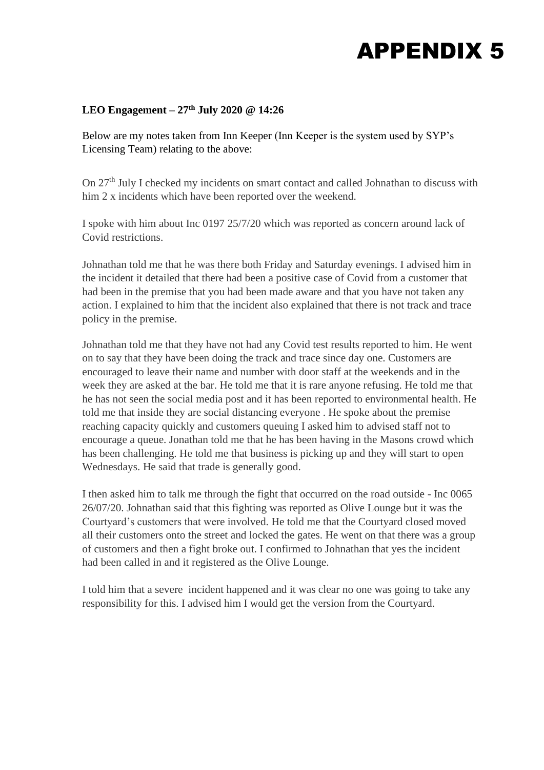## **LEO Engagement – 27th July 2020 @ 14:26**

Below are my notes taken from Inn Keeper (Inn Keeper is the system used by SYP's Licensing Team) relating to the above:

On 27<sup>th</sup> July I checked my incidents on smart contact and called Johnathan to discuss with him 2 x incidents which have been reported over the weekend.

I spoke with him about Inc 0197 25/7/20 which was reported as concern around lack of Covid restrictions.

Johnathan told me that he was there both Friday and Saturday evenings. I advised him in the incident it detailed that there had been a positive case of Covid from a customer that had been in the premise that you had been made aware and that you have not taken any action. I explained to him that the incident also explained that there is not track and trace policy in the premise.

Johnathan told me that they have not had any Covid test results reported to him. He went on to say that they have been doing the track and trace since day one. Customers are encouraged to leave their name and number with door staff at the weekends and in the week they are asked at the bar. He told me that it is rare anyone refusing. He told me that he has not seen the social media post and it has been reported to environmental health. He told me that inside they are social distancing everyone . He spoke about the premise reaching capacity quickly and customers queuing I asked him to advised staff not to encourage a queue. Jonathan told me that he has been having in the Masons crowd which has been challenging. He told me that business is picking up and they will start to open Wednesdays. He said that trade is generally good.

I then asked him to talk me through the fight that occurred on the road outside - Inc 0065 26/07/20. Johnathan said that this fighting was reported as Olive Lounge but it was the Courtyard's customers that were involved. He told me that the Courtyard closed moved all their customers onto the street and locked the gates. He went on that there was a group of customers and then a fight broke out. I confirmed to Johnathan that yes the incident had been called in and it registered as the Olive Lounge.

I told him that a severe incident happened and it was clear no one was going to take any responsibility for this. I advised him I would get the version from the Courtyard.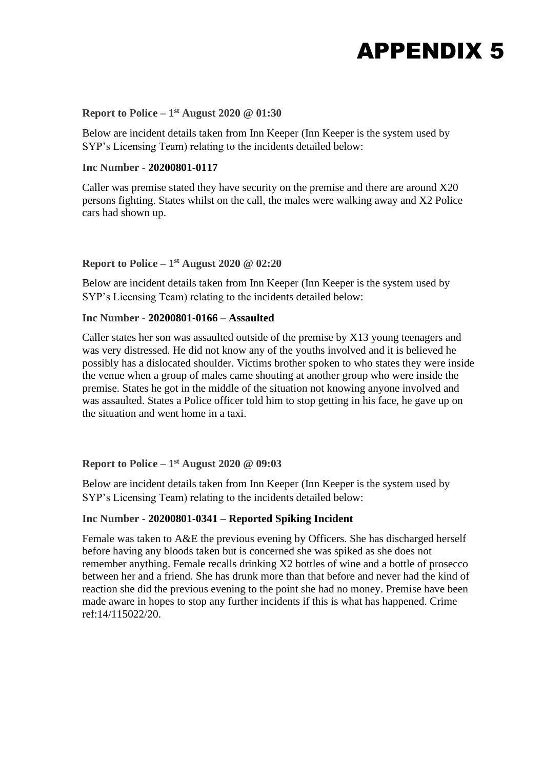## **Report to Police – 1 st August 2020 @ 01:30**

Below are incident details taken from Inn Keeper (Inn Keeper is the system used by SYP's Licensing Team) relating to the incidents detailed below:

#### **Inc Number - 20200801-0117**

Caller was premise stated they have security on the premise and there are around X20 persons fighting. States whilst on the call, the males were walking away and X2 Police cars had shown up.

#### **Report to Police – 1 st August 2020 @ 02:20**

Below are incident details taken from Inn Keeper (Inn Keeper is the system used by SYP's Licensing Team) relating to the incidents detailed below:

#### **Inc Number - 20200801-0166 – Assaulted**

Caller states her son was assaulted outside of the premise by X13 young teenagers and was very distressed. He did not know any of the youths involved and it is believed he possibly has a dislocated shoulder. Victims brother spoken to who states they were inside the venue when a group of males came shouting at another group who were inside the premise. States he got in the middle of the situation not knowing anyone involved and was assaulted. States a Police officer told him to stop getting in his face, he gave up on the situation and went home in a taxi.

#### **Report to Police – 1 st August 2020 @ 09:03**

Below are incident details taken from Inn Keeper (Inn Keeper is the system used by SYP's Licensing Team) relating to the incidents detailed below:

#### **Inc Number - 20200801-0341 – Reported Spiking Incident**

Female was taken to A&E the previous evening by Officers. She has discharged herself before having any bloods taken but is concerned she was spiked as she does not remember anything. Female recalls drinking X2 bottles of wine and a bottle of prosecco between her and a friend. She has drunk more than that before and never had the kind of reaction she did the previous evening to the point she had no money. Premise have been made aware in hopes to stop any further incidents if this is what has happened. Crime ref:14/115022/20.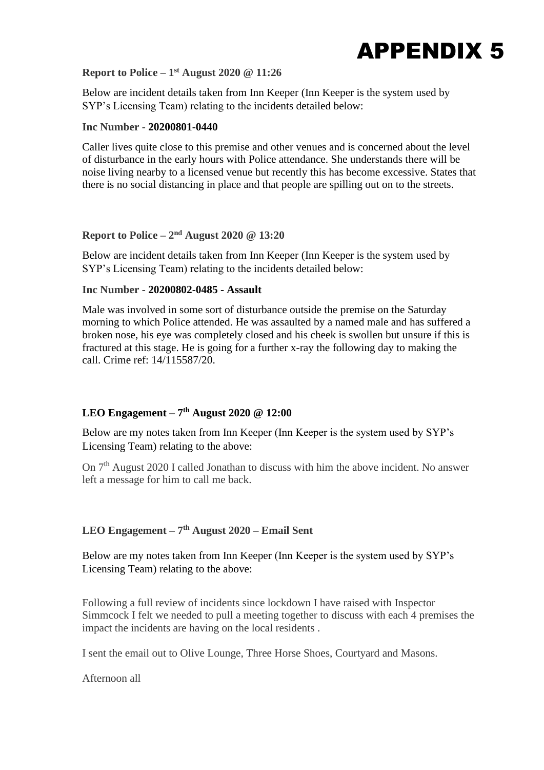

### **Report to Police – 1 st August 2020 @ 11:26**

Below are incident details taken from Inn Keeper (Inn Keeper is the system used by SYP's Licensing Team) relating to the incidents detailed below:

#### **Inc Number - 20200801-0440**

Caller lives quite close to this premise and other venues and is concerned about the level of disturbance in the early hours with Police attendance. She understands there will be noise living nearby to a licensed venue but recently this has become excessive. States that there is no social distancing in place and that people are spilling out on to the streets.

### **Report to Police –**  $2<sup>nd</sup>$  **August 2020 @ 13:20**

Below are incident details taken from Inn Keeper (Inn Keeper is the system used by SYP's Licensing Team) relating to the incidents detailed below:

#### **Inc Number - 20200802-0485 - Assault**

Male was involved in some sort of disturbance outside the premise on the Saturday morning to which Police attended. He was assaulted by a named male and has suffered a broken nose, his eye was completely closed and his cheek is swollen but unsure if this is fractured at this stage. He is going for a further x-ray the following day to making the call. Crime ref: 14/115587/20.

#### **LEO Engagement – 7 th August 2020 @ 12:00**

Below are my notes taken from Inn Keeper (Inn Keeper is the system used by SYP's Licensing Team) relating to the above:

On 7<sup>th</sup> August 2020 I called Jonathan to discuss with him the above incident. No answer left a message for him to call me back.

#### **LEO Engagement – 7 th August 2020 – Email Sent**

Below are my notes taken from Inn Keeper (Inn Keeper is the system used by SYP's Licensing Team) relating to the above:

Following a full review of incidents since lockdown I have raised with Inspector Simmcock I felt we needed to pull a meeting together to discuss with each 4 premises the impact the incidents are having on the local residents .

I sent the email out to Olive Lounge, Three Horse Shoes, Courtyard and Masons.

Afternoon all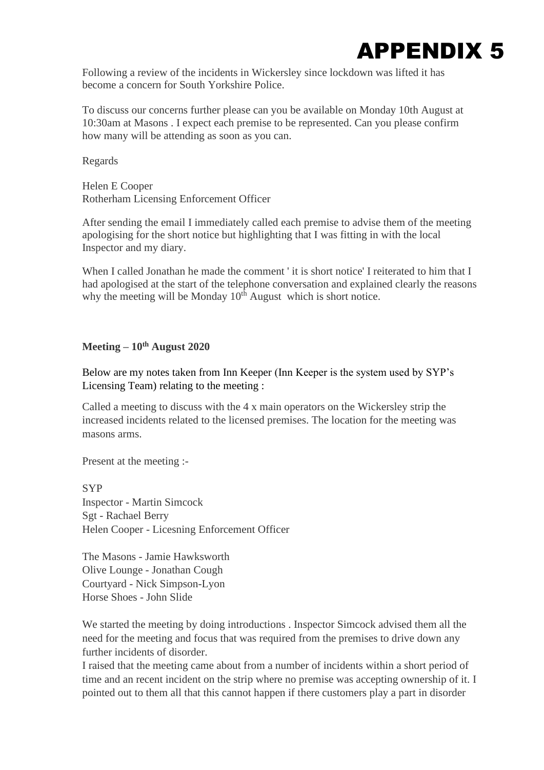

Following a review of the incidents in Wickersley since lockdown was lifted it has become a concern for South Yorkshire Police.

To discuss our concerns further please can you be available on Monday 10th August at 10:30am at Masons . I expect each premise to be represented. Can you please confirm how many will be attending as soon as you can.

Regards

Helen E Cooper Rotherham Licensing Enforcement Officer

After sending the email I immediately called each premise to advise them of the meeting apologising for the short notice but highlighting that I was fitting in with the local Inspector and my diary.

When I called Jonathan he made the comment ' it is short notice' I reiterated to him that I had apologised at the start of the telephone conversation and explained clearly the reasons why the meeting will be Monday  $10<sup>th</sup>$  August which is short notice.

## **Meeting – 10th August 2020**

Below are my notes taken from Inn Keeper (Inn Keeper is the system used by SYP's Licensing Team) relating to the meeting :

Called a meeting to discuss with the 4 x main operators on the Wickersley strip the increased incidents related to the licensed premises. The location for the meeting was masons arms.

Present at the meeting :-

**SYP** Inspector - Martin Simcock Sgt - Rachael Berry Helen Cooper - Licesning Enforcement Officer

The Masons - Jamie Hawksworth Olive Lounge - Jonathan Cough Courtyard - Nick Simpson-Lyon Horse Shoes - John Slide

We started the meeting by doing introductions . Inspector Simcock advised them all the need for the meeting and focus that was required from the premises to drive down any further incidents of disorder.

I raised that the meeting came about from a number of incidents within a short period of time and an recent incident on the strip where no premise was accepting ownership of it. I pointed out to them all that this cannot happen if there customers play a part in disorder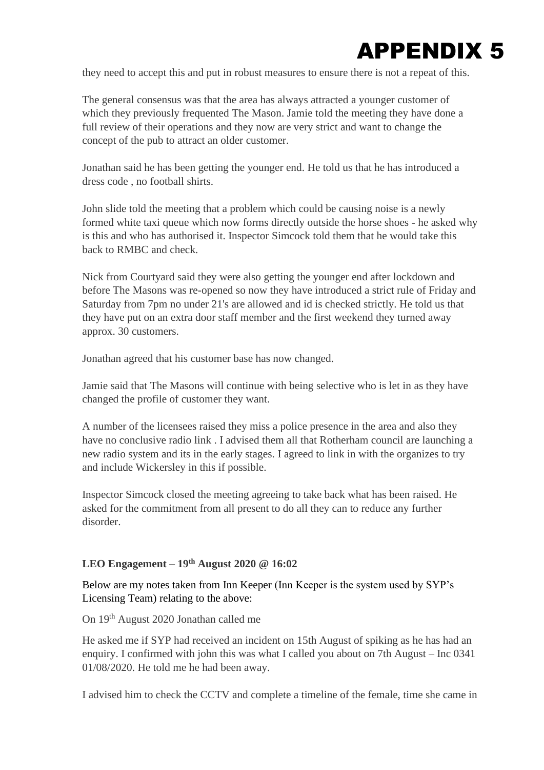

they need to accept this and put in robust measures to ensure there is not a repeat of this.

The general consensus was that the area has always attracted a younger customer of which they previously frequented The Mason. Jamie told the meeting they have done a full review of their operations and they now are very strict and want to change the concept of the pub to attract an older customer.

Jonathan said he has been getting the younger end. He told us that he has introduced a dress code , no football shirts.

John slide told the meeting that a problem which could be causing noise is a newly formed white taxi queue which now forms directly outside the horse shoes - he asked why is this and who has authorised it. Inspector Simcock told them that he would take this back to RMBC and check.

Nick from Courtyard said they were also getting the younger end after lockdown and before The Masons was re-opened so now they have introduced a strict rule of Friday and Saturday from 7pm no under 21's are allowed and id is checked strictly. He told us that they have put on an extra door staff member and the first weekend they turned away approx. 30 customers.

Jonathan agreed that his customer base has now changed.

Jamie said that The Masons will continue with being selective who is let in as they have changed the profile of customer they want.

A number of the licensees raised they miss a police presence in the area and also they have no conclusive radio link . I advised them all that Rotherham council are launching a new radio system and its in the early stages. I agreed to link in with the organizes to try and include Wickersley in this if possible.

Inspector Simcock closed the meeting agreeing to take back what has been raised. He asked for the commitment from all present to do all they can to reduce any further disorder.

## **LEO Engagement – 19th August 2020 @ 16:02**

Below are my notes taken from Inn Keeper (Inn Keeper is the system used by SYP's Licensing Team) relating to the above:

On 19th August 2020 Jonathan called me

He asked me if SYP had received an incident on 15th August of spiking as he has had an enquiry. I confirmed with john this was what I called you about on 7th August – Inc 0341 01/08/2020. He told me he had been away.

I advised him to check the CCTV and complete a timeline of the female, time she came in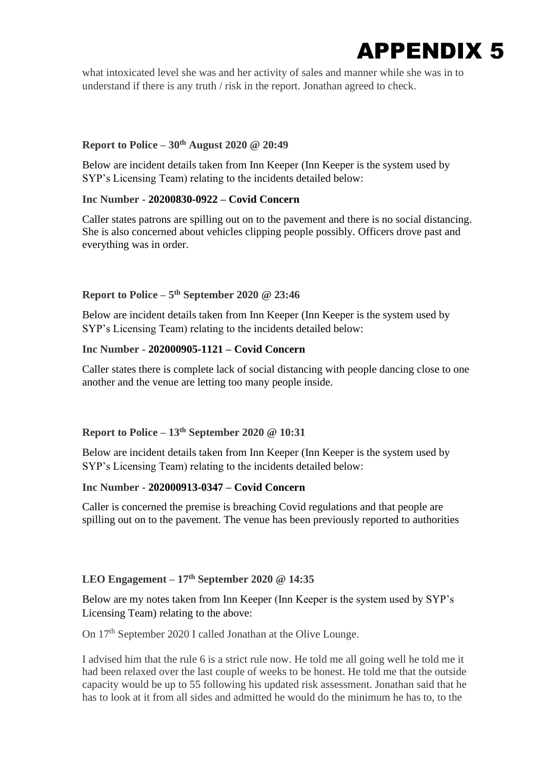

what intoxicated level she was and her activity of sales and manner while she was in to understand if there is any truth / risk in the report. Jonathan agreed to check.

#### **Report to Police – 30th August 2020 @ 20:49**

Below are incident details taken from Inn Keeper (Inn Keeper is the system used by SYP's Licensing Team) relating to the incidents detailed below:

#### **Inc Number - 20200830-0922 – Covid Concern**

Caller states patrons are spilling out on to the pavement and there is no social distancing. She is also concerned about vehicles clipping people possibly. Officers drove past and everything was in order.

#### **Report to Police – 5 th September 2020 @ 23:46**

Below are incident details taken from Inn Keeper (Inn Keeper is the system used by SYP's Licensing Team) relating to the incidents detailed below:

#### **Inc Number - 202000905-1121 – Covid Concern**

Caller states there is complete lack of social distancing with people dancing close to one another and the venue are letting too many people inside.

#### **Report to Police – 13th September 2020 @ 10:31**

Below are incident details taken from Inn Keeper (Inn Keeper is the system used by SYP's Licensing Team) relating to the incidents detailed below:

## **Inc Number - 202000913-0347 – Covid Concern**

Caller is concerned the premise is breaching Covid regulations and that people are spilling out on to the pavement. The venue has been previously reported to authorities

#### **LEO Engagement – 17th September 2020 @ 14:35**

Below are my notes taken from Inn Keeper (Inn Keeper is the system used by SYP's Licensing Team) relating to the above:

On 17<sup>th</sup> September 2020 I called Jonathan at the Olive Lounge.

I advised him that the rule 6 is a strict rule now. He told me all going well he told me it had been relaxed over the last couple of weeks to be honest. He told me that the outside capacity would be up to 55 following his updated risk assessment. Jonathan said that he has to look at it from all sides and admitted he would do the minimum he has to, to the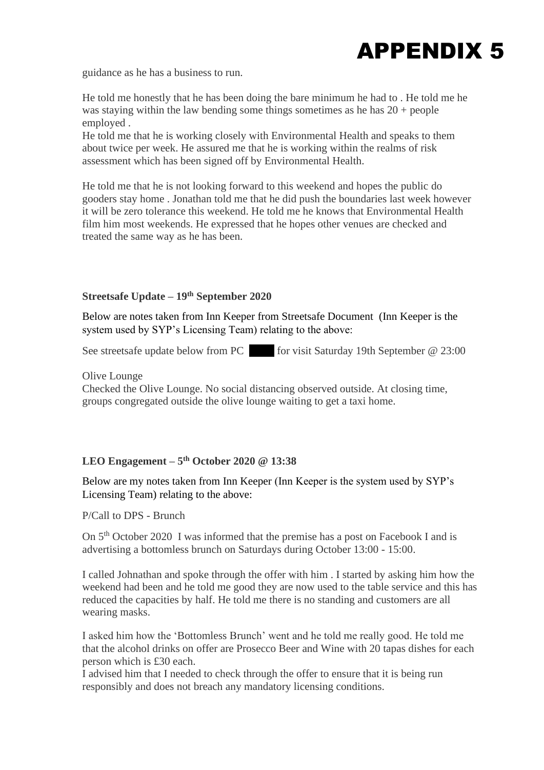

guidance as he has a business to run.

He told me honestly that he has been doing the bare minimum he had to . He told me he was staying within the law bending some things sometimes as he has 20 + people employed .

He told me that he is working closely with Environmental Health and speaks to them about twice per week. He assured me that he is working within the realms of risk assessment which has been signed off by Environmental Health.

He told me that he is not looking forward to this weekend and hopes the public do gooders stay home . Jonathan told me that he did push the boundaries last week however it will be zero tolerance this weekend. He told me he knows that Environmental Health film him most weekends. He expressed that he hopes other venues are checked and treated the same way as he has been.

## **Streetsafe Update – 19th September 2020**

Below are notes taken from Inn Keeper from Streetsafe Document (Inn Keeper is the system used by SYP's Licensing Team) relating to the above:

See streetsafe update below from PC for visit Saturday 19th September @ 23:00

#### Olive Lounge

Checked the Olive Lounge. No social distancing observed outside. At closing time, groups congregated outside the olive lounge waiting to get a taxi home.

## **LEO Engagement – 5 th October 2020 @ 13:38**

Below are my notes taken from Inn Keeper (Inn Keeper is the system used by SYP's Licensing Team) relating to the above:

P/Call to DPS - Brunch

On 5th October 2020 I was informed that the premise has a post on Facebook I and is advertising a bottomless brunch on Saturdays during October 13:00 - 15:00.

I called Johnathan and spoke through the offer with him . I started by asking him how the weekend had been and he told me good they are now used to the table service and this has reduced the capacities by half. He told me there is no standing and customers are all wearing masks.

I asked him how the 'Bottomless Brunch' went and he told me really good. He told me that the alcohol drinks on offer are Prosecco Beer and Wine with 20 tapas dishes for each person which is £30 each.

I advised him that I needed to check through the offer to ensure that it is being run responsibly and does not breach any mandatory licensing conditions.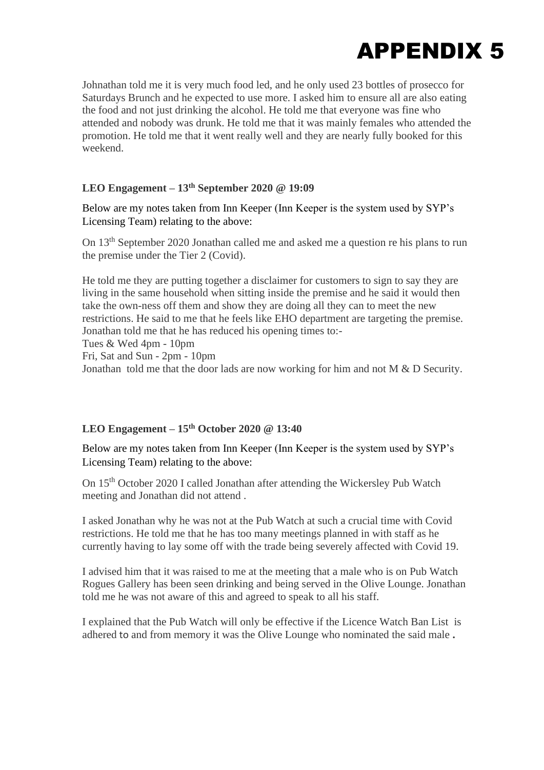

Johnathan told me it is very much food led, and he only used 23 bottles of prosecco for Saturdays Brunch and he expected to use more. I asked him to ensure all are also eating the food and not just drinking the alcohol. He told me that everyone was fine who attended and nobody was drunk. He told me that it was mainly females who attended the promotion. He told me that it went really well and they are nearly fully booked for this weekend.

## **LEO Engagement – 13th September 2020 @ 19:09**

Below are my notes taken from Inn Keeper (Inn Keeper is the system used by SYP's Licensing Team) relating to the above:

On 13th September 2020 Jonathan called me and asked me a question re his plans to run the premise under the Tier 2 (Covid).

He told me they are putting together a disclaimer for customers to sign to say they are living in the same household when sitting inside the premise and he said it would then take the own-ness off them and show they are doing all they can to meet the new restrictions. He said to me that he feels like EHO department are targeting the premise. Jonathan told me that he has reduced his opening times to:-

Tues & Wed 4pm - 10pm

Fri, Sat and Sun - 2pm - 10pm

Jonathan told me that the door lads are now working for him and not M & D Security.

#### **LEO Engagement – 15th October 2020 @ 13:40**

Below are my notes taken from Inn Keeper (Inn Keeper is the system used by SYP's Licensing Team) relating to the above:

On 15th October 2020 I called Jonathan after attending the Wickersley Pub Watch meeting and Jonathan did not attend .

I asked Jonathan why he was not at the Pub Watch at such a crucial time with Covid restrictions. He told me that he has too many meetings planned in with staff as he currently having to lay some off with the trade being severely affected with Covid 19.

I advised him that it was raised to me at the meeting that a male who is on Pub Watch Rogues Gallery has been seen drinking and being served in the Olive Lounge. Jonathan told me he was not aware of this and agreed to speak to all his staff.

I explained that the Pub Watch will only be effective if the Licence Watch Ban List is adhered to and from memory it was the Olive Lounge who nominated the said male **.**